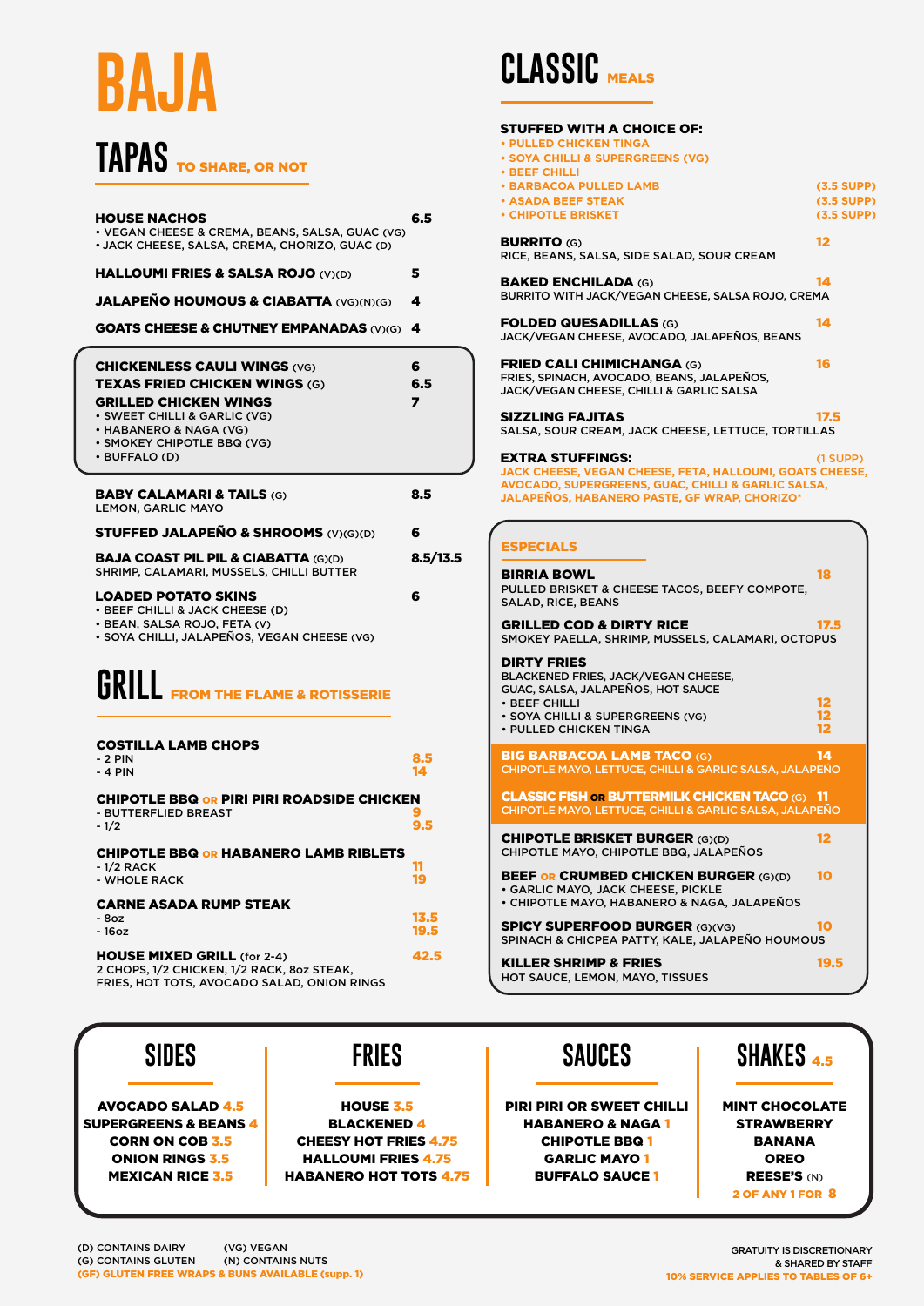#### **CLASSIC** MEALS

| <b>HOUSE NACHOS</b><br>• VEGAN CHEESE & CREMA, BEANS, SALSA, GUAC (VG)<br>• JACK CHEESE, SALSA, CREMA, CHORIZO, GUAC (D)                                                                                             | 6.5                                 |
|----------------------------------------------------------------------------------------------------------------------------------------------------------------------------------------------------------------------|-------------------------------------|
| <b>HALLOUMI FRIES &amp; SALSA ROJO (V)(D)</b>                                                                                                                                                                        | 5                                   |
| <b>JALAPEÑO HOUMOUS &amp; CIABATTA (VG)(N)(G)</b>                                                                                                                                                                    | 4                                   |
| <b>GOATS CHEESE &amp; CHUTNEY EMPANADAS (V)(G)</b>                                                                                                                                                                   | 4                                   |
| <b>CHICKENLESS CAULI WINGS (VG)</b><br><b>TEXAS FRIED CHICKEN WINGS (G)</b><br><b>GRILLED CHICKEN WINGS</b><br>· SWEET CHILLI & GARLIC (VG)<br>• HABANERO & NAGA (VG)<br>· SMOKEY CHIPOTLE BBQ (VG)<br>· BUFFALO (D) | 6<br>6.5<br>$\overline{\mathbf{z}}$ |
| <b>BABY CALAMARI &amp; TAILS (G)</b><br><b>LEMON, GARLIC MAYO</b>                                                                                                                                                    | 8.5                                 |
| <b>STUFFED JALAPEÑO &amp; SHROOMS (V)(G)(D)</b>                                                                                                                                                                      | 6                                   |
| <b>BAJA COAST PIL PIL &amp; CIABATTA (G)(D)</b><br>SHRIMP, CALAMARI, MUSSELS, CHILLI BUTTER                                                                                                                          | 8.5/13.5                            |
| <b>LOADED POTATO SKINS</b><br>• BEEF CHILLI & JACK CHEESE (D)<br>· BEAN, SALSA ROJO, FETA (V)<br>• SOYA CHILLI, JALAPEÑOS, VEGAN CHEESE (VG)                                                                         | 6                                   |
| <b>UKILL FROM THE FLAME &amp; ROTISSERIE</b>                                                                                                                                                                         |                                     |
| <b>COSTILLA LAMB CHOPS</b><br>$-2$ PIN<br>- 4 PIN                                                                                                                                                                    | 8.5<br>14                           |
| <b>CHIPOTLE BBQ OR PIRI PIRI ROADSIDE CHICKEN</b><br>- BUTTERFLIED BREAST<br>$-1/2$                                                                                                                                  | 9.5                                 |
| <b>CHIPOTLE BBQ OR HABANERO LAMB RIBLETS</b><br>$-1/2$ RACK<br>- WHOLE RACK                                                                                                                                          | 11<br>19                            |
| <b>CARNE ASADA RUMP STEAK</b><br>$-8oz$<br>$-16oz$                                                                                                                                                                   | 13.5<br>19.5                        |
| <b>HOUSE MIXED GRILL (for 2-4)</b><br>2 CHOPS, 1/2 CHICKEN, 1/2 RACK, 8oz STEAK,                                                                                                                                     | 42.5                                |

KILLER SHRIMP & FRIES 19.5 HOT SAUCE, LEMON, MAYO, TISSUES



| <b>STUFFED WITH A CHOICE OF:</b><br><b>• PULLED CHICKEN TINGA</b><br><b>. SOYA CHILLI &amp; SUPERGREENS (VG)</b><br><b>• BEEF CHILLI</b>                                                         |                                              |
|--------------------------------------------------------------------------------------------------------------------------------------------------------------------------------------------------|----------------------------------------------|
| <b>• BARBACOA PULLED LAMB</b><br><b>• ASADA BEEF STEAK</b><br><b>• CHIPOTLE BRISKET</b>                                                                                                          | $(3.5$ SUPP)<br>$(3.5$ SUPP)<br>$(3.5$ SUPP) |
| <b>BURRITO (G)</b><br>RICE, BEANS, SALSA, SIDE SALAD, SOUR CREAM                                                                                                                                 | 12                                           |
| <b>BAKED ENCHILADA (G)</b><br>BURRITO WITH JACK/VEGAN CHEESE, SALSA ROJO, CREMA                                                                                                                  | 14                                           |
| <b>FOLDED QUESADILLAS (G)</b><br>JACK/VEGAN CHEESE, AVOCADO, JALAPEÑOS, BEANS                                                                                                                    | 14                                           |
| <b>FRIED CALI CHIMICHANGA (G)</b><br>FRIES, SPINACH, AVOCADO, BEANS, JALAPEÑOS,<br>JACK/VEGAN CHEESE, CHILLI & GARLIC SALSA                                                                      | 16                                           |
| <b>SIZZLING FAJITAS</b><br>SALSA, SOUR CREAM, JACK CHEESE, LETTUCE, TORTILLAS                                                                                                                    | 17.5                                         |
| <b>EXTRA STUFFINGS:</b><br>JACK CHEESE, VEGAN CHEESE, FETA, HALLOUMI, GOATS CHEESE,<br>AVOCADO, SUPERGREENS, GUAC, CHILLI & GARLIC SALSA,<br><b>JALAPEÑOS, HABANERO PASTE, GF WRAP, CHORIZO*</b> | $(1$ SUPP $)$                                |
| <b>ESPECIALS</b>                                                                                                                                                                                 |                                              |
| <b>BIRRIA BOWL</b>                                                                                                                                                                               | 18                                           |
| PULLED BRISKET & CHEESE TACOS, BEEFY COMPOTE,<br><b>SALAD, RICE, BEANS</b>                                                                                                                       |                                              |
| <b>GRILLED COD &amp; DIRTY RICE</b><br>SMOKEY PAELLA, SHRIMP, MUSSELS, CALAMARI, OCTOPUS                                                                                                         | 17.5                                         |
| <b>DIRTY FRIES</b><br>BLACKENED FRIES, JACK/VEGAN CHEESE,<br><b>GUAC, SALSA, JALAPEÑOS, HOT SAUCE</b>                                                                                            |                                              |
| · BEEF CHILLI<br>· SOYA CHILLI & SUPERGREENS (VG)<br>• PULLED CHICKEN TINGA                                                                                                                      | $12 \ \varepsilon$<br>12<br>12               |
| <b>BIG BARBACOA LAMB TACO (G)</b><br>CHIPOTLE MAYO, LETTUCE, CHILLI & GARLIC SALSA, JALAPEÑO                                                                                                     | 14                                           |
| <b>CLASSIC FISH OR BUTTERMILK CHICKEN TACO (G) 11</b><br>CHIPOTLE MAYO, LETTUCE, CHILLI & GARLIC SALSA, JALAPEÑO                                                                                 |                                              |
| <b>CHIPOTLE BRISKET BURGER (G)(D)</b><br>CHIPOTLE MAYO, CHIPOTLE BBQ, JALAPEÑOS                                                                                                                  | 12                                           |
| <b>BEEF OR CRUMBED CHICKEN BURGER (G)(D)</b><br>· GARLIC MAYO, JACK CHEESE, PICKLE<br>• CHIPOTLE MAYO, HABANERO & NAGA, JALAPEÑOS                                                                | 10                                           |

FRIES, HOT TOTS, AVOCADO SALAD, ONION RINGS

# **BAJA**

### TAPAS TO SHARE, OR NOT

GRATUITY IS DISCRETIONARY & SHARED BY STAFF 10% SERVICE APPLIES TO TABLES OF 6+

(D) CONTAINS DAIRY (G) CONTAINS GLUTEN (GF) GLUTEN FREE WRAPS & BUNS AVAILABLE (supp. 1) (VG) VEGAN (N) CONTAINS NUTS